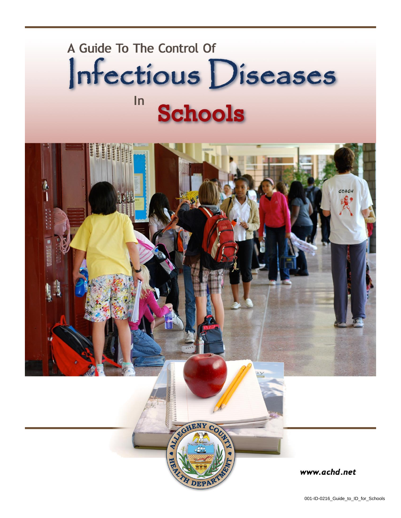# A Guide To The Control Of Infectious Diseases  $In$ **Schools**

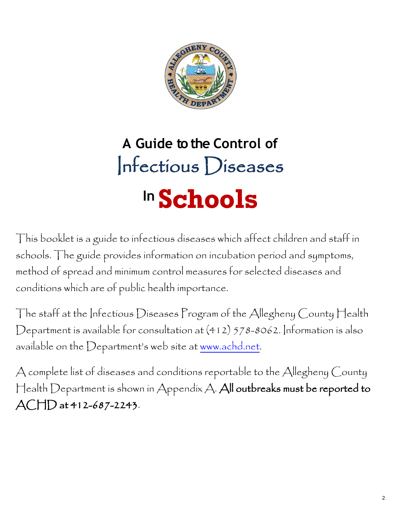

# **A Guide to the Control of** Infectious Diseases **In Schools**

This booklet is a guide to infectious diseases which affect children and staff in schools. The guide provides information on incubation period and symptoms, method of spread and minimum control measures for selected diseases and conditions which are of public health importance.

The staff at the Infectious Diseases Program of the Allegheny County Health Department is available for consultation at (412) 578-8062. Information is also available on the Department's web site at [www.achd.net.](http://www.achd.net/)

A complete list of diseases and conditions reportable to the Allegheny County Health Department is shown in Appendix A. All outbreaks must be reported to ACHD at 412-687-2243.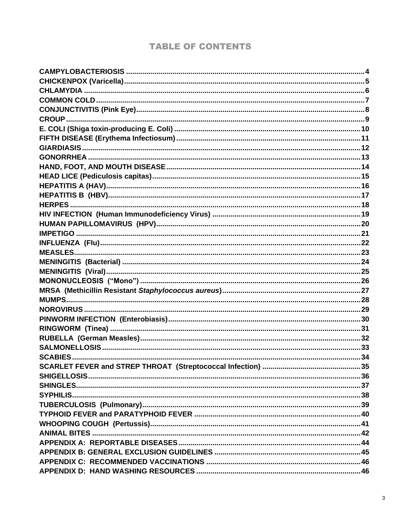# **TABLE OF CONTENTS**

<span id="page-2-0"></span>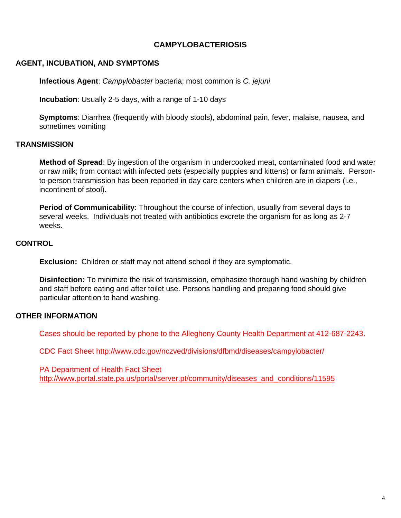# **CAMPYLOBACTERIOSIS**

#### **AGENT, INCUBATION, AND SYMPTOMS**

**Infectious Agent**: *Campylobacter* bacteria; most common is *C. jejuni*

**Incubation**: Usually 2-5 days, with a range of 1-10 days

**Symptoms**: Diarrhea (frequently with bloody stools), abdominal pain, fever, malaise, nausea, and sometimes vomiting

#### **TRANSMISSION**

**Method of Spread**: By ingestion of the organism in undercooked meat, contaminated food and water or raw milk; from contact with infected pets (especially puppies and kittens) or farm animals. Personto-person transmission has been reported in day care centers when children are in diapers (i.e., incontinent of stool).

**Period of Communicability**: Throughout the course of infection, usually from several days to several weeks. Individuals not treated with antibiotics excrete the organism for as long as 2-7 weeks.

#### **CONTROL**

**Exclusion:** Children or staff may not attend school if they are symptomatic.

**Disinfection:** To minimize the risk of transmission, emphasize thorough hand washing by children and staff before eating and after toilet use. Persons handling and preparing food should give particular attention to hand washing.

#### **OTHER INFORMATION**

Cases should be reported by phone to the Allegheny County Health Department at 412-687-2243.

CDC Fact Sheet<http://www.cdc.gov/nczved/divisions/dfbmd/diseases/campylobacter/>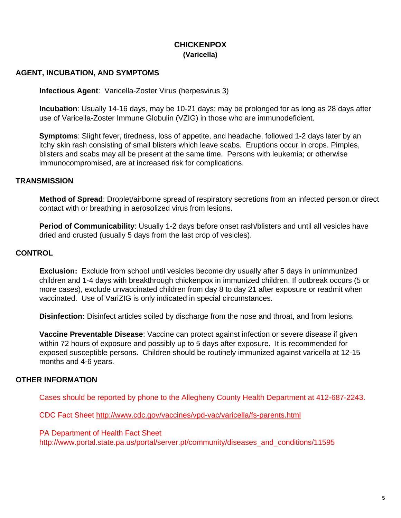# **CHICKENPOX (Varicella)**

## <span id="page-4-0"></span>**AGENT, INCUBATION, AND SYMPTOMS**

**Infectious Agent**: Varicella-Zoster Virus (herpesvirus 3)

**Incubation**: Usually 14-16 days, may be 10-21 days; may be prolonged for as long as 28 days after use of Varicella-Zoster Immune Globulin (VZIG) in those who are immunodeficient.

**Symptoms**: Slight fever, tiredness, loss of appetite, and headache, followed 1-2 days later by an itchy skin rash consisting of small blisters which leave scabs. Eruptions occur in crops. Pimples, blisters and scabs may all be present at the same time. Persons with leukemia; or otherwise immunocompromised, are at increased risk for complications.

#### **TRANSMISSION**

**Method of Spread**: Droplet/airborne spread of respiratory secretions from an infected person.or direct contact with or breathing in aerosolized virus from lesions.

**Period of Communicability**: Usually 1-2 days before onset rash/blisters and until all vesicles have dried and crusted (usually 5 days from the last crop of vesicles).

#### **CONTROL**

**Exclusion:** Exclude from school until vesicles become dry usually after 5 days in unimmunized children and 1-4 days with breakthrough chickenpox in immunized children. If outbreak occurs (5 or more cases), exclude unvaccinated children from day 8 to day 21 after exposure or readmit when vaccinated. Use of VariZIG is only indicated in special circumstances.

**Disinfection:** Disinfect articles soiled by discharge from the nose and throat, and from lesions.

**Vaccine Preventable Disease**: Vaccine can protect against infection or severe disease if given within 72 hours of exposure and possibly up to 5 days after exposure. It is recommended for exposed susceptible persons. Children should be routinely immunized against varicella at 12-15 months and 4-6 years.

#### **OTHER INFORMATION**

Cases should be reported by phone to the Allegheny County Health Department at 412-687-2243.

CDC Fact Sheet<http://www.cdc.gov/vaccines/vpd-vac/varicella/fs-parents.html>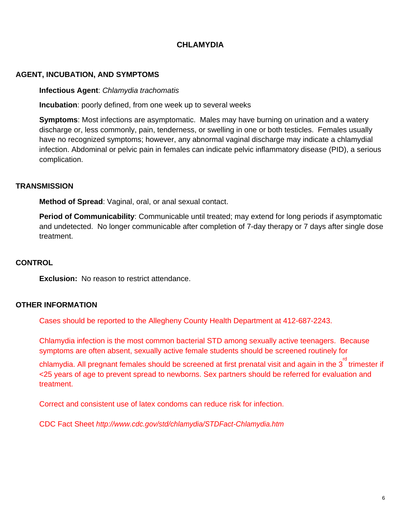# **CHI AMYDIA**

#### <span id="page-5-0"></span>**AGENT, INCUBATION, AND SYMPTOMS**

**Infectious Agent**: *Chlamydia trachomatis*

**Incubation**: poorly defined, from one week up to several weeks

**Symptoms**: Most infections are asymptomatic. Males may have burning on urination and a watery discharge or, less commonly, pain, tenderness, or swelling in one or both testicles.Females usually have no recognized symptoms; however, any abnormal vaginal discharge may indicate a chlamydial infection. Abdominal or pelvic pain in females can indicate pelvic inflammatory disease (PID), a serious complication.

#### **TRANSMISSION**

**Method of Spread:** Vaginal, oral, or anal sexual contact.

**Period of Communicability**: Communicable until treated; may extend for long periods if asymptomatic and undetected. No longer communicable after completion of 7-day therapy or 7 days after single dose treatment.

## **CONTROL**

**Exclusion:** No reason to restrict attendance.

#### **OTHER INFORMATION**

Cases should be reported to the Allegheny County Health Department at 412-687-2243.

Chlamydia infection is the most common bacterial STD among sexually active teenagers. Because symptoms are often absent, sexually active female students should be screened routinely for

chlamydia. All pregnant females should be screened at first prenatal visit and again in the  $3^{^{\text{rd}}}$ trimester if <25 years of age to prevent spread to newborns. Sex partners should be referred for evaluation and treatment.

Correct and consistent use of latex condoms can reduce risk for infection.

CDC Fact Sheet *<http://www.cdc.gov/std/chlamydia/STDFact-Chlamydia.htm>*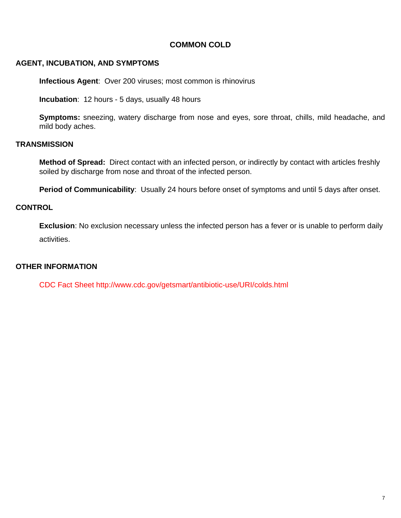# **COMMON COLD**

#### <span id="page-6-0"></span>**AGENT, INCUBATION, AND SYMPTOMS**

**Infectious Agent**: Over 200 viruses; most common is rhinovirus

**Incubation**: 12 hours - 5 days, usually 48 hours

**Symptoms:** sneezing, watery discharge from nose and eyes, sore throat, chills, mild headache, and mild body aches.

#### **TRANSMISSION**

**Method of Spread:** Direct contact with an infected person, or indirectly by contact with articles freshly soiled by discharge from nose and throat of the infected person.

**Period of Communicability**: Usually 24 hours before onset of symptoms and until 5 days after onset.

#### **CONTROL**

**Exclusion**: No exclusion necessary unless the infected person has a fever or is unable to perform daily activities.

#### **OTHER INFORMATION**

CDC Fact Sheet http://www.cdc.gov/getsmart/antibiotic-use/URI/colds.html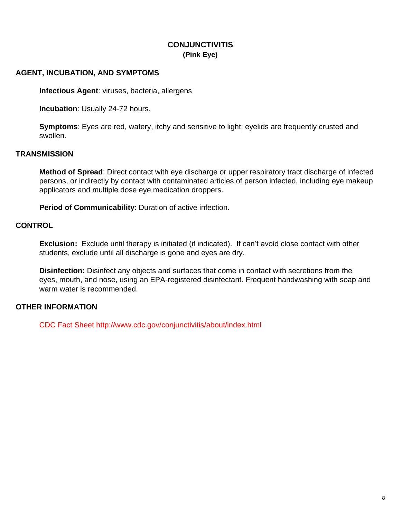# **CONJUNCTIVITIS (Pink Eye)**

## <span id="page-7-0"></span>**AGENT, INCUBATION, AND SYMPTOMS**

**Infectious Agent**: viruses, bacteria, allergens

**Incubation**: Usually 24-72 hours.

**Symptoms**: Eyes are red, watery, itchy and sensitive to light; eyelids are frequently crusted and swollen.

#### **TRANSMISSION**

**Method of Spread**: Direct contact with eye discharge or upper respiratory tract discharge of infected persons, or indirectly by contact with contaminated articles of person infected, including eye makeup applicators and multiple dose eye medication droppers.

**Period of Communicability**: Duration of active infection.

#### **CONTROL**

**Exclusion:** Exclude until therapy is initiated (if indicated). If can't avoid close contact with other students, exclude until all discharge is gone and eyes are dry.

**Disinfection:** Disinfect any objects and surfaces that come in contact with secretions from the eyes, mouth, and nose, using an EPA-registered disinfectant. Frequent handwashing with soap and warm water is recommended.

# **OTHER INFORMATION**

CDC Fact Sheet http://www.cdc.gov/conjunctivitis/about/index.html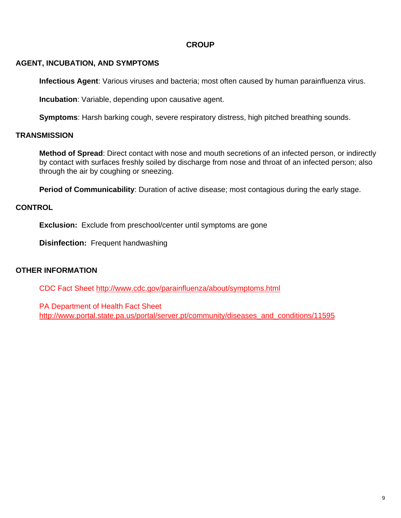# **CROUP**

# <span id="page-8-0"></span>**AGENT, INCUBATION, AND SYMPTOMS**

**Infectious Agent**: Various viruses and bacteria; most often caused by human parainfluenza virus.

**Incubation**: Variable, depending upon causative agent.

**Symptoms**: Harsh barking cough, severe respiratory distress, high pitched breathing sounds.

# **TRANSMISSION**

**Method of Spread**: Direct contact with nose and mouth secretions of an infected person, or indirectly by contact with surfaces freshly soiled by discharge from nose and throat of an infected person; also through the air by coughing or sneezing.

**Period of Communicability**: Duration of active disease; most contagious during the early stage.

#### **CONTROL**

**Exclusion:** Exclude from preschool/center until symptoms are gone

**Disinfection:** Frequent handwashing

#### **OTHER INFORMATION**

CDC Fact Sheet<http://www.cdc.gov/parainfluenza/about/symptoms.html>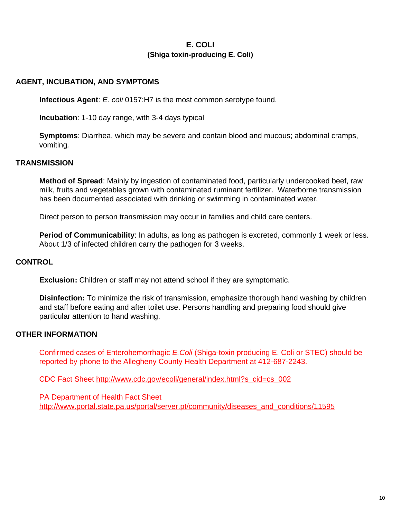# **E. COLI (Shiga toxin-producing E. Coli)**

#### <span id="page-9-0"></span>**AGENT, INCUBATION, AND SYMPTOMS**

**Infectious Agent**: *E. coli* 0157:H7 is the most common serotype found.

**Incubation**: 1-10 day range, with 3-4 days typical

**Symptoms**: Diarrhea, which may be severe and contain blood and mucous; abdominal cramps, vomiting*.*

#### **TRANSMISSION**

**Method of Spread**: Mainly by ingestion of contaminated food, particularly undercooked beef, raw milk, fruits and vegetables grown with contaminated ruminant fertilizer. Waterborne transmission has been documented associated with drinking or swimming in contaminated water.

Direct person to person transmission may occur in families and child care centers.

**Period of Communicability**: In adults, as long as pathogen is excreted, commonly 1 week or less. About 1/3 of infected children carry the pathogen for 3 weeks.

#### **CONTROL**

**Exclusion:** Children or staff may not attend school if they are symptomatic.

**Disinfection:** To minimize the risk of transmission, emphasize thorough hand washing by children and staff before eating and after toilet use. Persons handling and preparing food should give particular attention to hand washing.

#### **OTHER INFORMATION**

Confirmed cases of Enterohemorrhagic *E.Coli* (Shiga-toxin producing E. Coli or STEC) should be reported by phone to the Allegheny County Health Department at 412-687-2243.

CDC Fact Sheet [http://www.cdc.gov/ecoli/general/index.html?s\\_cid=cs\\_002](http://www.cdc.gov/ecoli/general/index.html?s_cid=cs_002)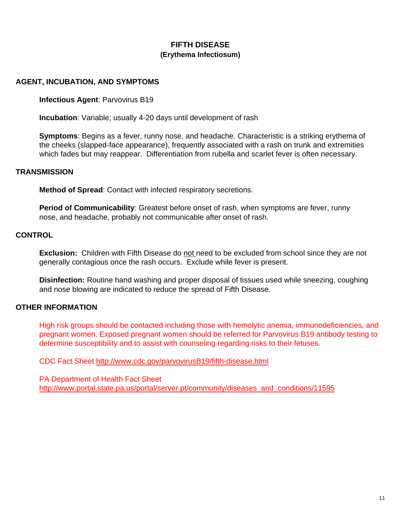# **FIFTH DISEASE (Erythema Infectiosum)**

#### <span id="page-10-0"></span>**AGENT, INCUBATION, AND SYMPTOMS**

**Infectious Agent**: Parvovirus B19

**Incubation**: Variable; usually 4-20 days until development of rash

**Symptoms**: Begins as a fever, runny nose, and headache. Characteristic is a striking erythema of the cheeks (slapped-face appearance), frequently associated with a rash on trunk and extremities which fades but may reappear. Differentiation from rubella and scarlet fever is often necessary.

#### **TRANSMISSION**

**Method of Spread**: Contact with infected respiratory secretions.

**Period of Communicability**: Greatest before onset of rash, when symptoms are fever, runny nose, and headache, probably not communicable after onset of rash.

#### **CONTROL**

**Exclusion:** Children with Fifth Disease do not need to be excluded from school since they are not generally contagious once the rash occurs. Exclude while fever is present.

**Disinfection:** Routine hand washing and proper disposal of tissues used while sneezing, coughing and nose blowing are indicated to reduce the spread of Fifth Disease.

#### **OTHER INFORMATION**

High risk groups should be contacted including those with hemolytic anemia, immunodeficiencies, and pregnant women. Exposed pregnant women should be referred for Parvovirus B19 antibody testing to determine susceptibility and to assist with counseling regarding risks to their fetuses.

CDC Fact Sheet<http://www.cdc.gov/parvovirusB19/fifth-disease.html>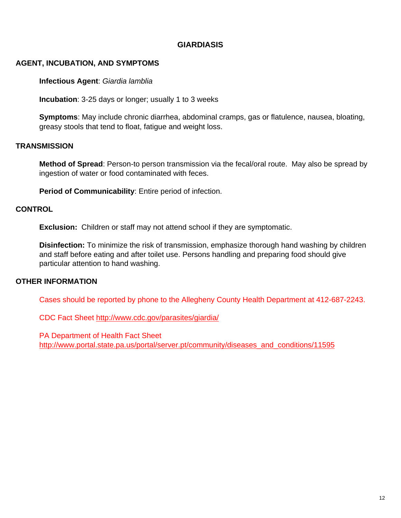# **GIARDIASIS**

## <span id="page-11-0"></span>**AGENT, INCUBATION, AND SYMPTOMS**

**Infectious Agent**: *Giardia lamblia*

**Incubation**: 3-25 days or longer; usually 1 to 3 weeks

**Symptoms**: May include chronic diarrhea, abdominal cramps, gas or flatulence, nausea, bloating, greasy stools that tend to float, fatigue and weight loss.

#### **TRANSMISSION**

**Method of Spread**: Person-to person transmission via the fecal/oral route. May also be spread by ingestion of water or food contaminated with feces.

**Period of Communicability**: Entire period of infection.

#### **CONTROL**

**Exclusion:** Children or staff may not attend school if they are symptomatic.

**Disinfection:** To minimize the risk of transmission, emphasize thorough hand washing by children and staff before eating and after toilet use. Persons handling and preparing food should give particular attention to hand washing.

#### **OTHER INFORMATION**

Cases should be reported by phone to the Allegheny County Health Department at 412-687-2243.

CDC Fact Sheet<http://www.cdc.gov/parasites/giardia/>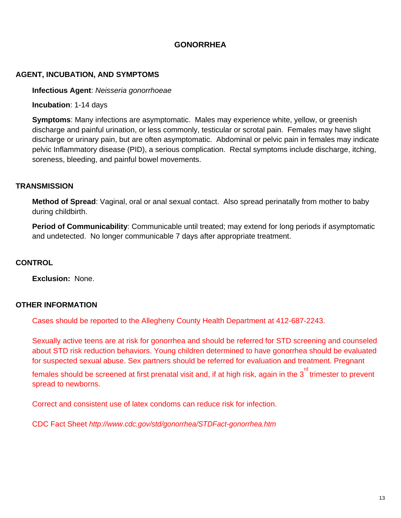# **GONORRHEA**

#### <span id="page-12-0"></span>**AGENT, INCUBATION, AND SYMPTOMS**

**Infectious Agent**: *Neisseria gonorrhoeae*

**Incubation**: 1-14 days

**Symptoms**: Many infections are asymptomatic. Males may experience white, yellow, or greenish discharge and painful urination, or less commonly, testicular or scrotal pain. Females may have slight discharge or urinary pain, but are often asymptomatic. Abdominal or pelvic pain in females may indicate pelvic Inflammatory disease (PID), a serious complication. Rectal symptoms include discharge, itching, soreness, bleeding, and painful bowel movements.

#### **TRANSMISSION**

**Method of Spread**: Vaginal, oral or anal sexual contact. Also spread perinatally from mother to baby during childbirth.

**Period of Communicability**: Communicable until treated; may extend for long periods if asymptomatic and undetected. No longer communicable 7 days after appropriate treatment.

## **CONTROL**

**Exclusion:** None.

#### **OTHER INFORMATION**

Cases should be reported to the Allegheny County Health Department at 412-687-2243.

Sexually active teens are at risk for gonorrhea and should be referred for STD screening and counseled about STD risk reduction behaviors. Young children determined to have gonorrhea should be evaluated for suspected sexual abuse. Sex partners should be referred for evaluation and treatment. Pregnant

females should be screened at first prenatal visit and, if at high risk, again in the  $3^{\mathsf{rd}}$  trimester to prevent spread to newborns.

Correct and consistent use of latex condoms can reduce risk for infection.

CDC Fact Sheet *<http://www.cdc.gov/std/gonorrhea/STDFact-gonorrhea.htm>*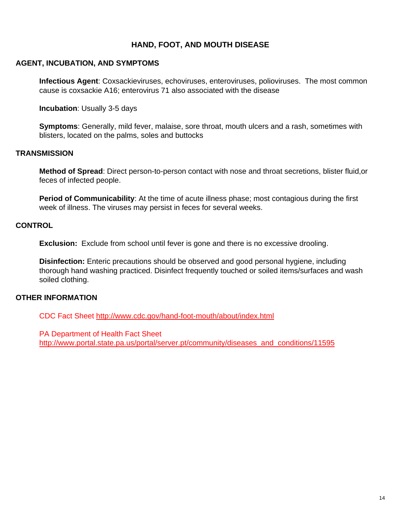# **HAND, FOOT, AND MOUTH DISEASE**

#### <span id="page-13-0"></span>**AGENT, INCUBATION, AND SYMPTOMS**

**Infectious Agent**: Coxsackieviruses, echoviruses, enteroviruses, polioviruses. The most common cause is coxsackie A16; enterovirus 71 also associated with the disease

**Incubation**: Usually 3-5 days

**Symptoms**: Generally, mild fever, malaise, sore throat, mouth ulcers and a rash, sometimes with blisters, located on the palms, soles and buttocks

#### **TRANSMISSION**

**Method of Spread**: Direct person-to-person contact with nose and throat secretions, blister fluid,or feces of infected people.

**Period of Communicability**: At the time of acute illness phase; most contagious during the first week of illness. The viruses may persist in feces for several weeks.

#### **CONTROL**

**Exclusion:** Exclude from school until fever is gone and there is no excessive drooling.

**Disinfection:** Enteric precautions should be observed and good personal hygiene, including thorough hand washing practiced. Disinfect frequently touched or soiled items/surfaces and wash soiled clothing.

#### **OTHER INFORMATION**

CDC Fact Sheet<http://www.cdc.gov/hand-foot-mouth/about/index.html>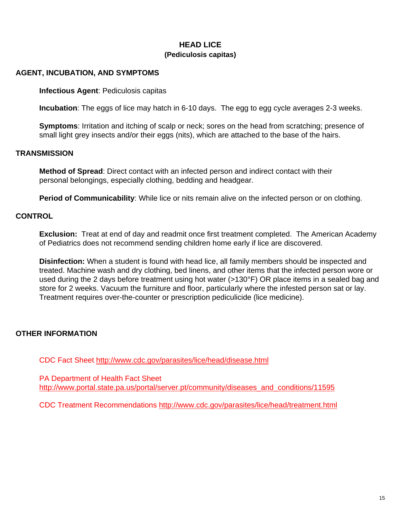# **HEAD LICE (Pediculosis capitas)**

## <span id="page-14-0"></span>**AGENT, INCUBATION, AND SYMPTOMS**

**Infectious Agent**: Pediculosis capitas

**Incubation**: The eggs of lice may hatch in 6-10 days. The egg to egg cycle averages 2-3 weeks.

**Symptoms**: Irritation and itching of scalp or neck; sores on the head from scratching; presence of small light grey insects and/or their eggs (nits), which are attached to the base of the hairs.

#### **TRANSMISSION**

**Method of Spread**: Direct contact with an infected person and indirect contact with their personal belongings, especially clothing, bedding and headgear.

**Period of Communicability**: While lice or nits remain alive on the infected person or on clothing.

#### **CONTROL**

**Exclusion:** Treat at end of day and readmit once first treatment completed. The American Academy of Pediatrics does not recommend sending children home early if lice are discovered.

**Disinfection:** When a student is found with head lice, all family members should be inspected and treated. Machine wash and dry clothing, bed linens, and other items that the infected person wore or used during the 2 days before treatment using hot water (>130°F) OR place items in a sealed bag and store for 2 weeks. Vacuum the furniture and floor, particularly where the infested person sat or lay. Treatment requires over-the-counter or prescription pediculicide (lice medicine).

# **OTHER INFORMATION**

CDC Fact Sheet<http://www.cdc.gov/parasites/lice/head/disease.html>

PA Department of Health Fact Sheet [http://www.portal.state.pa.us/portal/server.pt/community/diseases\\_and\\_conditions/11595](http://www.portal.state.pa.us/portal/server.pt/community/diseases_and_conditions/11595)

CDC Treatment Recommendations http://www.cdc.gov/parasites/lice/head/treatment.html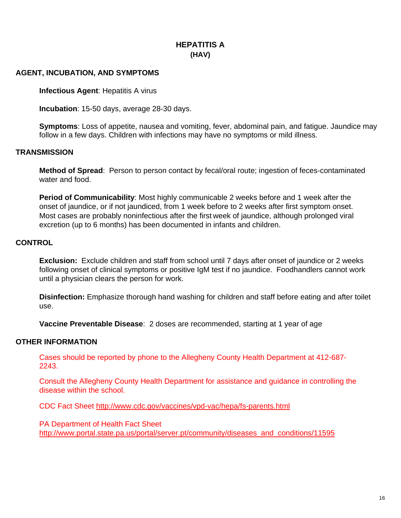# **HEPATITIS A (HAV)**

# <span id="page-15-0"></span>**AGENT, INCUBATION, AND SYMPTOMS**

**Infectious Agent: Hepatitis A virus** 

**Incubation**: 15-50 days, average 28-30 days.

**Symptoms**: Loss of appetite, nausea and vomiting, fever, abdominal pain, and fatigue. Jaundice may follow in a few days. Children with infections may have no symptoms or mild illness.

#### **TRANSMISSION**

**Method of Spread**: Person to person contact by fecal/oral route; ingestion of feces-contaminated water and food.

**Period of Communicability**: Most highly communicable 2 weeks before and 1 week after the onset of jaundice, or if not jaundiced, from 1 week before to 2 weeks after first symptom onset. Most cases are probably noninfectious after the first week of jaundice, although prolonged viral excretion (up to 6 months) has been documented in infants and children.

# **CONTROL**

**Exclusion:** Exclude children and staff from school until 7 days after onset of jaundice or 2 weeks following onset of clinical symptoms or positive IgM test if no jaundice. Foodhandlers cannot work until a physician clears the person for work.

**Disinfection:** Emphasize thorough hand washing for children and staff before eating and after toilet use.

**Vaccine Preventable Disease**: 2 doses are recommended, starting at 1 year of age

#### **OTHER INFORMATION**

Cases should be reported by phone to the Allegheny County Health Department at 412-687- 2243.

Consult the Allegheny County Health Department for assistance and guidance in controlling the disease within the school.

CDC Fact Sheet<http://www.cdc.gov/vaccines/vpd-vac/hepa/fs-parents.html>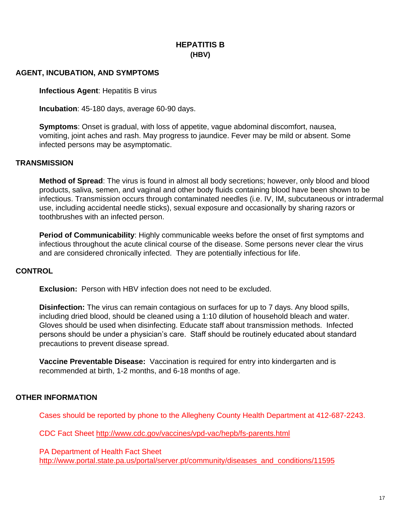# **HEPATITIS B (HBV)**

# <span id="page-16-0"></span>**AGENT, INCUBATION, AND SYMPTOMS**

**Infectious Agent: Hepatitis B virus** 

**Incubation**: 45-180 days, average 60-90 days.

**Symptoms**: Onset is gradual, with loss of appetite, vague abdominal discomfort, nausea, vomiting, joint aches and rash. May progress to jaundice. Fever may be mild or absent. Some infected persons may be asymptomatic.

#### **TRANSMISSION**

**Method of Spread**: The virus is found in almost all body secretions; however, only blood and blood products, saliva, semen, and vaginal and other body fluids containing blood have been shown to be infectious. Transmission occurs through contaminated needles (i.e. IV, IM, subcutaneous or intradermal use, including accidental needle sticks), sexual exposure and occasionally by sharing razors or toothbrushes with an infected person.

**Period of Communicability**: Highly communicable weeks before the onset of first symptoms and infectious throughout the acute clinical course of the disease. Some persons never clear the virus and are considered chronically infected. They are potentially infectious for life.

#### **CONTROL**

**Exclusion:** Person with HBV infection does not need to be excluded.

**Disinfection:** The virus can remain contagious on surfaces for up to 7 days. Any blood spills, including dried blood, should be cleaned using a 1:10 dilution of household bleach and water. Gloves should be used when disinfecting. Educate staff about transmission methods. Infected persons should be under a physician's care. Staff should be routinely educated about standard precautions to prevent disease spread.

**Vaccine Preventable Disease:** Vaccination is required for entry into kindergarten and is recommended at birth, 1-2 months, and 6-18 months of age.

# **OTHER INFORMATION**

Cases should be reported by phone to the Allegheny County Health Department at 412-687-2243.

CDC Fact Sheet<http://www.cdc.gov/vaccines/vpd-vac/hepb/fs-parents.html>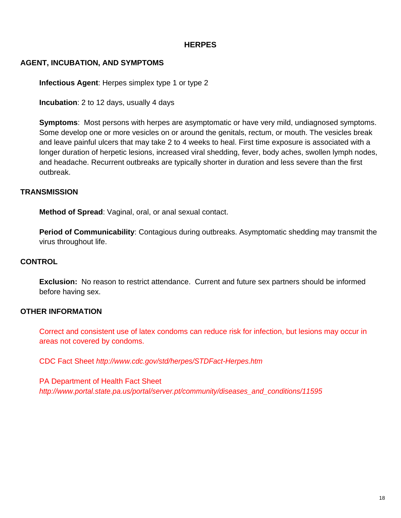# **HERPES**

# <span id="page-17-0"></span>**AGENT, INCUBATION, AND SYMPTOMS**

**Infectious Agent**: Herpes simplex type 1 or type 2

**Incubation**: 2 to 12 days, usually 4 days

**Symptoms**: Most persons with herpes are asymptomatic or have very mild, undiagnosed symptoms. Some develop one or more vesicles on or around the genitals, rectum, or mouth. The vesicles break and leave painful ulcers that may take 2 to 4 weeks to heal. First time exposure is associated with a longer duration of herpetic lesions, increased viral shedding, fever, body aches, swollen lymph nodes, and headache. Recurrent outbreaks are typically shorter in duration and less severe than the first outbreak.

#### **TRANSMISSION**

**Method of Spread**: Vaginal, oral, or anal sexual contact.

**Period of Communicability**: Contagious during outbreaks. Asymptomatic shedding may transmit the virus throughout life.

#### **CONTROL**

**Exclusion:** No reason to restrict attendance. Current and future sex partners should be informed before having sex.

#### **OTHER INFORMATION**

Correct and consistent use of latex condoms can reduce risk for infection, but lesions may occur in areas not covered by condoms.

CDC Fact Sheet *<http://www.cdc.gov/std/herpes/STDFact-Herpes.htm>*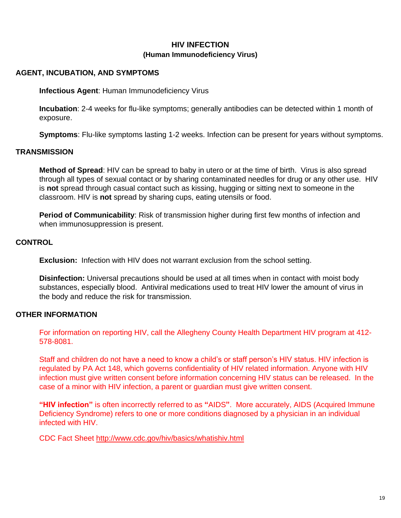# **HIV INFECTION (Human Immunodeficiency Virus)**

## <span id="page-18-0"></span>**AGENT, INCUBATION, AND SYMPTOMS**

**Infectious Agent**: Human Immunodeficiency Virus

**Incubation**: 2-4 weeks for flu-like symptoms; generally antibodies can be detected within 1 month of exposure.

**Symptoms**: Flu-like symptoms lasting 1-2 weeks. Infection can be present for years without symptoms.

#### **TRANSMISSION**

**Method of Spread**: HIV can be spread to baby in utero or at the time of birth. Virus is also spread through all types of sexual contact or by sharing contaminated needles for drug or any other use. HIV is **not** spread through casual contact such as kissing, hugging or sitting next to someone in the classroom. HIV is **not** spread by sharing cups, eating utensils or food.

**Period of Communicability**: Risk of transmission higher during first few months of infection and when immunosuppression is present.

## **CONTROL**

**Exclusion:** Infection with HIV does not warrant exclusion from the school setting.

**Disinfection:** Universal precautions should be used at all times when in contact with moist body substances, especially blood. Antiviral medications used to treat HIV lower the amount of virus in the body and reduce the risk for transmission.

#### **OTHER INFORMATION**

For information on reporting HIV, call the Allegheny County Health Department HIV program at 412- 578-8081.

Staff and children do not have a need to know a child's or staff person's HIV status. HIV infection is regulated by PA Act 148, which governs confidentiality of HIV related information. Anyone with HIV infection must give written consent before information concerning HIV status can be released. In the case of a minor with HIV infection, a parent or guardian must give written consent.

**"HIV infection"** is often incorrectly referred to as **"**AIDS**"**. More accurately, AIDS (Acquired Immune Deficiency Syndrome) refers to one or more conditions diagnosed by a physician in an individual infected with HIV.

CDC Fact Sheet<http://www.cdc.gov/hiv/basics/whatishiv.html>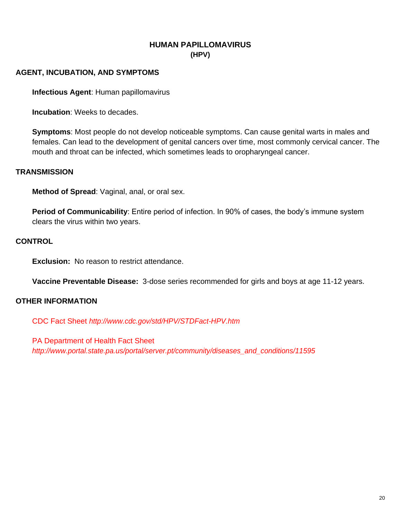# **HUMAN PAPILLOMAVIRUS (HPV)**

## <span id="page-19-0"></span>**AGENT, INCUBATION, AND SYMPTOMS**

**Infectious Agent**: Human papillomavirus

**Incubation**: Weeks to decades.

**Symptoms**: Most people do not develop noticeable symptoms. Can cause genital warts in males and females. Can lead to the development of genital cancers over time, most commonly cervical cancer. The mouth and throat can be infected, which sometimes leads to oropharyngeal cancer.

#### **TRANSMISSION**

**Method of Spread**: Vaginal, anal, or oral sex.

**Period of Communicability**: Entire period of infection. In 90% of cases, the body's immune system clears the virus within two years.

# **CONTROL**

**Exclusion:** No reason to restrict attendance.

**Vaccine Preventable Disease:** 3-dose series recommended for girls and boys at age 11-12 years.

# **OTHER INFORMATION**

CDC Fact Sheet *<http://www.cdc.gov/std/HPV/STDFact-HPV.htm>*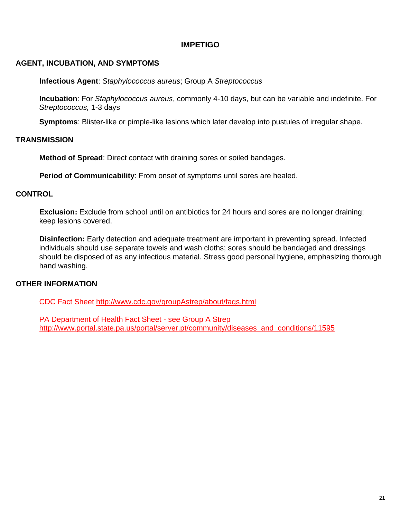# **IMPETIGO**

## <span id="page-20-0"></span>**AGENT, INCUBATION, AND SYMPTOMS**

**Infectious Agent**: *Staphylococcus aureus*; Group A *Streptococcus*

**Incubation**: For *Staphylococcus aureus*, commonly 4-10 days, but can be variable and indefinite. For *Streptococcus,* 1-3 days

**Symptoms**: Blister-like or pimple-like lesions which later develop into pustules of irregular shape.

#### **TRANSMISSION**

**Method of Spread**: Direct contact with draining sores or soiled bandages.

**Period of Communicability**: From onset of symptoms until sores are healed.

#### **CONTROL**

**Exclusion:** Exclude from school until on antibiotics for 24 hours and sores are no longer draining; keep lesions covered.

**Disinfection:** Early detection and adequate treatment are important in preventing spread. Infected individuals should use separate towels and wash cloths; sores should be bandaged and dressings should be disposed of as any infectious material. Stress good personal hygiene, emphasizing thorough hand washing.

#### **OTHER INFORMATION**

CDC Fact Sheet<http://www.cdc.gov/groupAstrep/about/faqs.html>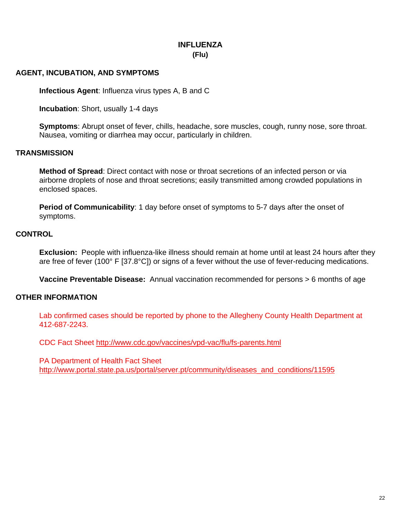# **INFLUENZA (Flu)**

## <span id="page-21-0"></span>**AGENT, INCUBATION, AND SYMPTOMS**

**Infectious Agent**: Influenza virus types A, B and C

**Incubation**: Short, usually 1-4 days

**Symptoms**: Abrupt onset of fever, chills, headache, sore muscles, cough, runny nose, sore throat. Nausea, vomiting or diarrhea may occur, particularly in children.

#### **TRANSMISSION**

**Method of Spread**: Direct contact with nose or throat secretions of an infected person or via airborne droplets of nose and throat secretions; easily transmitted among crowded populations in enclosed spaces.

**Period of Communicability**: 1 day before onset of symptoms to 5-7 days after the onset of symptoms.

#### **CONTROL**

**Exclusion:** People with influenza-like illness should remain at home until at least 24 hours after they are free of fever (100° F [37.8°C]) or signs of a fever without the use of fever-reducing medications.

**Vaccine Preventable Disease:** Annual vaccination recommended for persons > 6 months of age

#### **OTHER INFORMATION**

Lab confirmed cases should be reported by phone to the Allegheny County Health Department at 412-687-2243.

CDC Fact Sheet<http://www.cdc.gov/vaccines/vpd-vac/flu/fs-parents.html>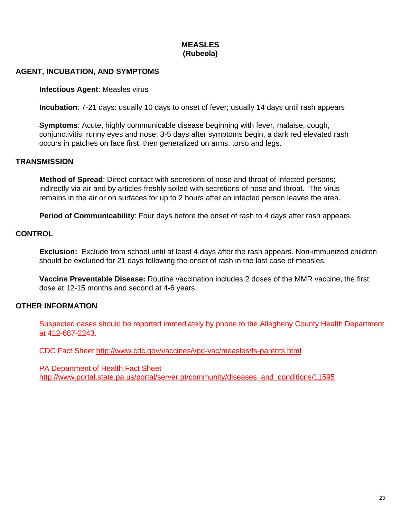# **MEASLES (Rubeola)**

#### <span id="page-22-0"></span>**AGENT, INCUBATION, AND SYMPTOMS**

#### **Infectious Agent**: Measles virus

**Incubation**: 7-21 days: usually 10 days to onset of fever; usually 14 days until rash appears

**Symptoms**: Acute, highly communicable disease beginning with fever, malaise, cough, conjunctivitis, runny eyes and nose; 3-5 days after symptoms begin, a dark red elevated rash occurs in patches on face first, then generalized on arms, torso and legs.

#### **TRANSMISSION**

**Method of Spread**: Direct contact with secretions of nose and throat of infected persons; indirectly via air and by articles freshly soiled with secretions of nose and throat. The virus remains in the air or on surfaces for up to 2 hours after an infected person leaves the area.

**Period of Communicability**: Four days before the onset of rash to 4 days after rash appears.

#### **CONTROL**

**Exclusion:** Exclude from school until at least 4 days after the rash appears. Non-immunized children should be excluded for 21 days following the onset of rash in the last case of measles.

**Vaccine Preventable Disease:** Routine vaccination includes 2 doses of the MMR vaccine, the first dose at 12-15 months and second at 4-6 years

#### **OTHER INFORMATION**

Suspected cases should be reported immediately by phone to the Allegheny County Health Department at 412-687-2243.

CDC Fact Sheet<http://www.cdc.gov/vaccines/vpd-vac/measles/fs-parents.html>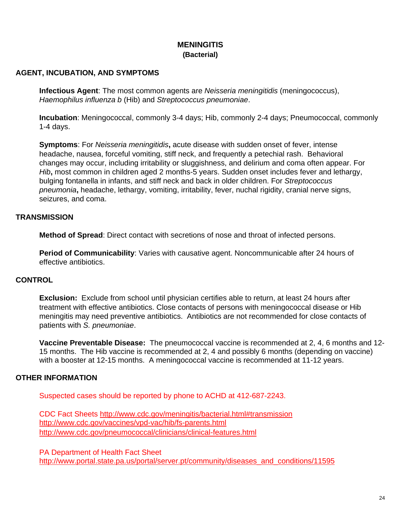# **MENINGITIS (Bacterial)**

# <span id="page-23-0"></span>**AGENT, INCUBATION, AND SYMPTOMS**

**Infectious Agent**: The most common agents are *Neisseria meningitidis* (meningococcus), *Haemophilus influenza b* (Hib) and *Streptococcus pneumoniae*.

**Incubation**: Meningococcal, commonly 3-4 days; Hib, commonly 2-4 days; Pneumococcal, commonly 1-4 days.

**Symptoms**: For *Neisseria meningitidis***,** acute disease with sudden onset of fever, intense headache, nausea, forceful vomiting, stiff neck, and frequently a petechial rash. Behavioral changes may occur, including irritability or sluggishness, and delirium and coma often appear. For *Hib*, most common in children aged 2 months-5 years. Sudden onset includes fever and lethargy, bulging fontanella in infants, and stiff neck and back in older children. For *Streptococcus pneumonia***,** headache, lethargy, vomiting, irritability, fever, nuchal rigidity, cranial nerve signs, seizures, and coma.

# **TRANSMISSION**

**Method of Spread**: Direct contact with secretions of nose and throat of infected persons.

**Period of Communicability**: Varies with causative agent. Noncommunicable after 24 hours of effective antibiotics.

# **CONTROL**

**Exclusion:** Exclude from school until physician certifies able to return, at least 24 hours after treatment with effective antibiotics. Close contacts of persons with meningococcal disease or Hib meningitis may need preventive antibiotics. Antibiotics are not recommended for close contacts of patients with *S. pneumoniae*.

**Vaccine Preventable Disease:** The pneumococcal vaccine is recommended at 2, 4, 6 months and 12- 15 months. The Hib vaccine is recommended at 2, 4 and possibly 6 months (depending on vaccine) with a booster at 12-15 months. A meningococcal vaccine is recommended at 11-12 years.

# **OTHER INFORMATION**

Suspected cases should be reported by phone to ACHD at 412-687-2243.

CDC Fact Sheets<http://www.cdc.gov/meningitis/bacterial.html#transmission> <http://www.cdc.gov/vaccines/vpd-vac/hib/fs-parents.html> http://www.cdc.gov/pneumococcal/clinicians/clinical-features.html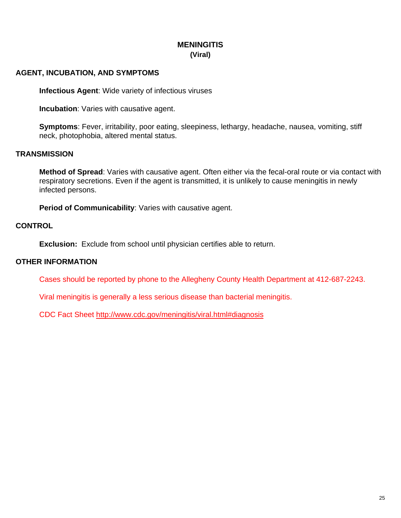# **MENINGITIS (Viral)**

# <span id="page-24-0"></span>**AGENT, INCUBATION, AND SYMPTOMS**

**Infectious Agent**: Wide variety of infectious viruses

**Incubation:** Varies with causative agent.

**Symptoms**: Fever, irritability, poor eating, sleepiness, lethargy, headache, nausea, vomiting, stiff neck, photophobia, altered mental status.

# **TRANSMISSION**

**Method of Spread**: Varies with causative agent. Often either via the fecal-oral route or via contact with respiratory secretions. Even if the agent is transmitted, it is unlikely to cause meningitis in newly infected persons.

**Period of Communicability**: Varies with causative agent.

# **CONTROL**

**Exclusion:** Exclude from school until physician certifies able to return.

# **OTHER INFORMATION**

Cases should be reported by phone to the Allegheny County Health Department at 412-687-2243.

Viral meningitis is generally a less serious disease than bacterial meningitis.

CDC Fact Sheet<http://www.cdc.gov/meningitis/viral.html#diagnosis>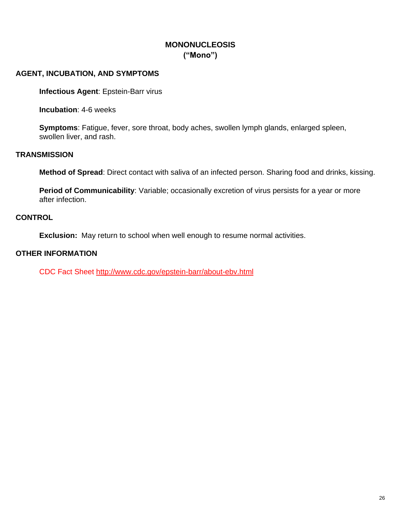# **MONONUCLEOSIS ("Mono")**

## <span id="page-25-0"></span>**AGENT, INCUBATION, AND SYMPTOMS**

**Infectious Agent**: Epstein-Barr virus

**Incubation**: 4-6 weeks

**Symptoms**: Fatigue, fever, sore throat, body aches, swollen lymph glands, enlarged spleen, swollen liver, and rash.

#### **TRANSMISSION**

**Method of Spread**: Direct contact with saliva of an infected person. Sharing food and drinks, kissing.

**Period of Communicability**: Variable; occasionally excretion of virus persists for a year or more after infection.

# **CONTROL**

**Exclusion:** May return to school when well enough to resume normal activities.

# **OTHER INFORMATION**

CDC Fact Sheet<http://www.cdc.gov/epstein-barr/about-ebv.html>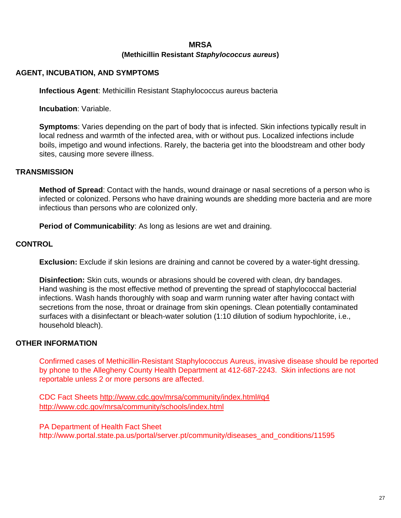# **MRSA (Methicillin Resistant** *Staphylococcus aureus***)**

# <span id="page-26-0"></span>**AGENT, INCUBATION, AND SYMPTOMS**

**Infectious Agent**: Methicillin Resistant Staphylococcus aureus bacteria

**Incubation**: Variable.

**Symptoms**: Varies depending on the part of body that is infected. Skin infections typically result in local redness and warmth of the infected area, with or without pus. Localized infections include boils, impetigo and wound infections. Rarely, the bacteria get into the bloodstream and other body sites, causing more severe illness.

#### **TRANSMISSION**

**Method of Spread**: Contact with the hands, wound drainage or nasal secretions of a person who is infected or colonized. Persons who have draining wounds are shedding more bacteria and are more infectious than persons who are colonized only.

**Period of Communicability**: As long as lesions are wet and draining.

#### **CONTROL**

**Exclusion:** Exclude if skin lesions are draining and cannot be covered by a water-tight dressing.

**Disinfection:** Skin cuts, wounds or abrasions should be covered with clean, dry bandages. Hand washing is the most effective method of preventing the spread of staphylococcal bacterial infections. Wash hands thoroughly with soap and warm running water after having contact with secretions from the nose, throat or drainage from skin openings. Clean potentially contaminated surfaces with a disinfectant or bleach-water solution (1:10 dilution of sodium hypochlorite, i.e., household bleach).

# **OTHER INFORMATION**

Confirmed cases of Methicillin-Resistant Staphylococcus Aureus, invasive disease should be reported by phone to the Allegheny County Health Department at 412-687-2243. Skin infections are not reportable unless 2 or more persons are affected.

CDC Fact Sheets<http://www.cdc.gov/mrsa/community/index.html#q4> <http://www.cdc.gov/mrsa/community/schools/index.html>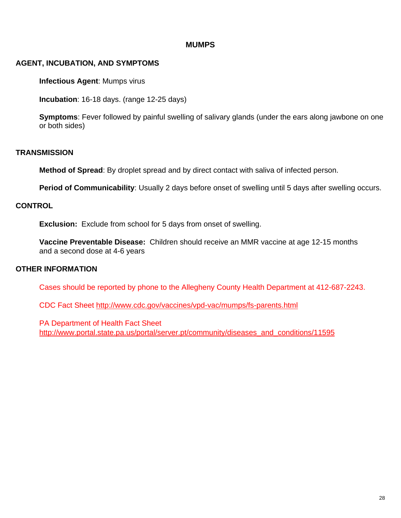# **MUMPS**

# <span id="page-27-0"></span>**AGENT, INCUBATION, AND SYMPTOMS**

**Infectious Agent**: Mumps virus

**Incubation**: 16-18 days. (range 12-25 days)

**Symptoms**: Fever followed by painful swelling of salivary glands (under the ears along jawbone on one or both sides)

#### **TRANSMISSION**

**Method of Spread**: By droplet spread and by direct contact with saliva of infected person.

**Period of Communicability**: Usually 2 days before onset of swelling until 5 days after swelling occurs.

#### **CONTROL**

**Exclusion:** Exclude from school for 5 days from onset of swelling.

**Vaccine Preventable Disease:** Children should receive an MMR vaccine at age 12-15 months and a second dose at 4-6 years

#### **OTHER INFORMATION**

Cases should be reported by phone to the Allegheny County Health Department at 412-687-2243.

CDC Fact Sheet<http://www.cdc.gov/vaccines/vpd-vac/mumps/fs-parents.html>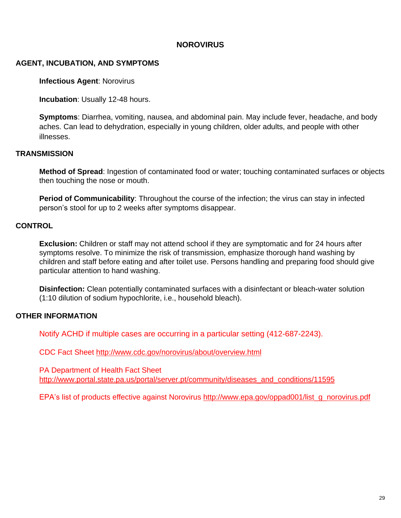# **NOROVIRUS**

# <span id="page-28-0"></span>**AGENT, INCUBATION, AND SYMPTOMS**

**Infectious Agent**: Norovirus

**Incubation**: Usually 12-48 hours.

**Symptoms**: Diarrhea, vomiting, nausea, and abdominal pain. May include fever, headache, and body aches. Can lead to dehydration, especially in young children, older adults, and people with other illnesses.

#### **TRANSMISSION**

**Method of Spread**: Ingestion of contaminated food or water; touching contaminated surfaces or objects then touching the nose or mouth.

**Period of Communicability**: Throughout the course of the infection; the virus can stay in infected person's stool for up to 2 weeks after symptoms disappear.

#### **CONTROL**

**Exclusion:** Children or staff may not attend school if they are symptomatic and for 24 hours after symptoms resolve. To minimize the risk of transmission, emphasize thorough hand washing by children and staff before eating and after toilet use. Persons handling and preparing food should give particular attention to hand washing.

**Disinfection:** Clean potentially contaminated surfaces with a disinfectant or bleach-water solution (1:10 dilution of sodium hypochlorite, i.e., household bleach).

#### **OTHER INFORMATION**

Notify ACHD if multiple cases are occurring in a particular setting (412-687-2243).

CDC Fact Sheet<http://www.cdc.gov/norovirus/about/overview.html>

PA Department of Health Fact Sheet [http://www.portal.state.pa.us/portal/server.pt/community/diseases\\_and\\_conditions/11595](http://www.portal.state.pa.us/portal/server.pt/community/diseases_and_conditions/11595)

EPA's list of products effective against Norovirus [http://www.epa.gov/oppad001/list\\_g\\_norovirus.pdf](http://www.epa.gov/oppad001/list_g_norovirus.pdf)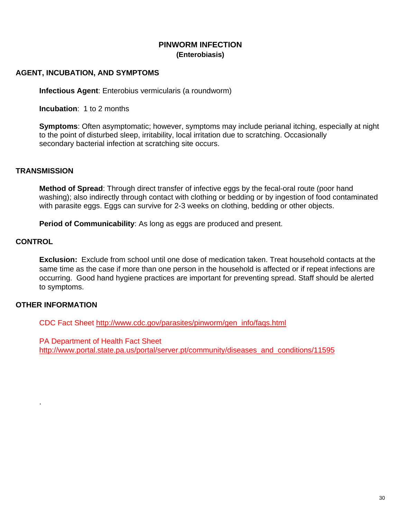# **PINWORM INFECTION (Enterobiasis)**

## <span id="page-29-0"></span>**AGENT, INCUBATION, AND SYMPTOMS**

**Infectious Agent**: Enterobius vermicularis (a roundworm)

**Incubation**: 1 to 2 months

**Symptoms**: Often asymptomatic; however, symptoms may include perianal itching, especially at night to the point of disturbed sleep, irritability, local irritation due to scratching. Occasionally secondary bacterial infection at scratching site occurs.

#### **TRANSMISSION**

**Method of Spread**: Through direct transfer of infective eggs by the fecal-oral route (poor hand washing); also indirectly through contact with clothing or bedding or by ingestion of food contaminated with parasite eggs. Eggs can survive for 2-3 weeks on clothing, bedding or other objects.

**Period of Communicability:** As long as eggs are produced and present.

# **CONTROL**

**Exclusion:** Exclude from school until one dose of medication taken. Treat household contacts at the same time as the case if more than one person in the household is affected or if repeat infections are occurring. Good hand hygiene practices are important for preventing spread. Staff should be alerted to symptoms.

# **OTHER INFORMATION**

.

CDC Fact Sheet [http://www.cdc.gov/parasites/pinworm/gen\\_info/faqs.html](http://www.cdc.gov/parasites/pinworm/gen_info/faqs.html)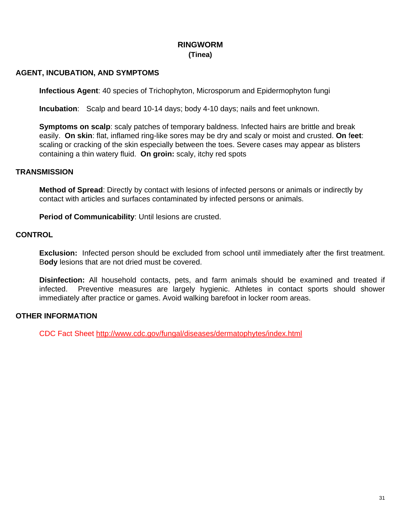# **RINGWORM (Tinea)**

## <span id="page-30-0"></span>**AGENT, INCUBATION, AND SYMPTOMS**

**Infectious Agent**: 40 species of Trichophyton, Microsporum and Epidermophyton fungi

**Incubation**: Scalp and beard 10-14 days; body 4-10 days; nails and feet unknown.

**Symptoms on scalp**: scaly patches of temporary baldness. Infected hairs are brittle and break easily. **On skin**: flat, inflamed ring-like sores may be dry and scaly or moist and crusted. **On** f**eet**: scaling or cracking of the skin especially between the toes. Severe cases may appear as blisters containing a thin watery fluid. **On groin:** scaly, itchy red spots

#### **TRANSMISSION**

**Method of Spread**: Directly by contact with lesions of infected persons or animals or indirectly by contact with articles and surfaces contaminated by infected persons or animals.

**Period of Communicability**: Until lesions are crusted.

#### **CONTROL**

**Exclusion:** Infected person should be excluded from school until immediately after the first treatment. B**ody** lesions that are not dried must be covered.

**Disinfection:** All household contacts, pets, and farm animals should be examined and treated if infected. Preventive measures are largely hygienic. Athletes in contact sports should shower immediately after practice or games. Avoid walking barefoot in locker room areas.

#### **OTHER INFORMATION**

CDC Fact Sheet<http://www.cdc.gov/fungal/diseases/dermatophytes/index.html>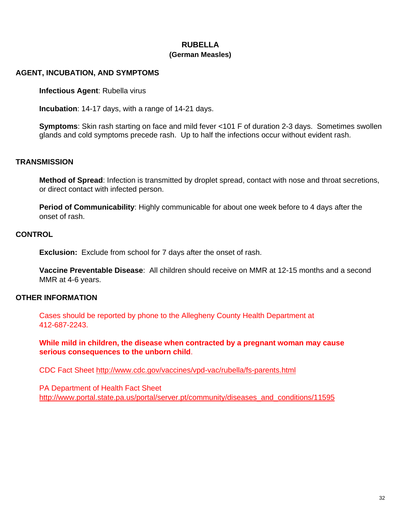# **RUBELLA (German Measles)**

#### <span id="page-31-0"></span>**AGENT, INCUBATION, AND SYMPTOMS**

**Infectious Agent**: Rubella virus

**Incubation**: 14-17 days, with a range of 14-21 days.

**Symptoms**: Skin rash starting on face and mild fever <101 F of duration 2-3 days. Sometimes swollen glands and cold symptoms precede rash. Up to half the infections occur without evident rash.

# **TRANSMISSION**

**Method of Spread**: Infection is transmitted by droplet spread, contact with nose and throat secretions, or direct contact with infected person.

**Period of Communicability**: Highly communicable for about one week before to 4 days after the onset of rash.

# **CONTROL**

**Exclusion:** Exclude from school for 7 days after the onset of rash.

**Vaccine Preventable Disease**: All children should receive on MMR at 12-15 months and a second MMR at 4-6 years.

#### **OTHER INFORMATION**

Cases should be reported by phone to the Allegheny County Health Department at 412-687-2243.

**While mild in children, the disease when contracted by a pregnant woman may cause serious consequences to the unborn child**.

CDC Fact Sheet<http://www.cdc.gov/vaccines/vpd-vac/rubella/fs-parents.html>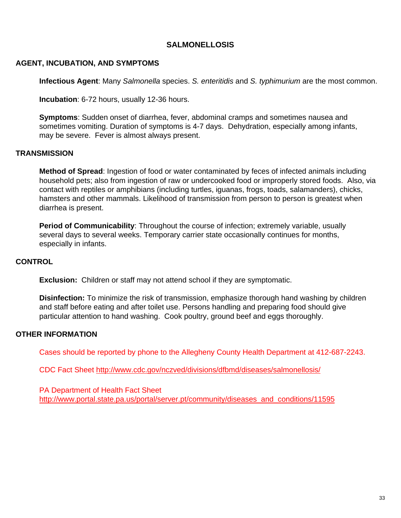#### **SALMONELLOSIS**

#### <span id="page-32-0"></span>**AGENT, INCUBATION, AND SYMPTOMS**

**Infectious Agent**: Many *Salmonella* species. *S. enteritidis* and *S. typhimurium* are the most common.

**Incubation**: 6-72 hours, usually 12-36 hours.

**Symptoms**: Sudden onset of diarrhea, fever, abdominal cramps and sometimes nausea and sometimes vomiting. Duration of symptoms is 4-7 days. Dehydration, especially among infants, may be severe. Fever is almost always present.

#### **TRANSMISSION**

**Method of Spread**: Ingestion of food or water contaminated by feces of infected animals including household pets; also from ingestion of raw or undercooked food or improperly stored foods. Also, via contact with reptiles or amphibians (including turtles, iguanas, frogs, toads, salamanders), chicks, hamsters and other mammals. Likelihood of transmission from person to person is greatest when diarrhea is present.

**Period of Communicability**: Throughout the course of infection; extremely variable, usually several days to several weeks. Temporary carrier state occasionally continues for months, especially in infants.

#### **CONTROL**

**Exclusion:** Children or staff may not attend school if they are symptomatic.

**Disinfection:** To minimize the risk of transmission, emphasize thorough hand washing by children and staff before eating and after toilet use. Persons handling and preparing food should give particular attention to hand washing. Cook poultry, ground beef and eggs thoroughly.

#### **OTHER INFORMATION**

Cases should be reported by phone to the Allegheny County Health Department at 412-687-2243.

CDC Fact Sheet<http://www.cdc.gov/nczved/divisions/dfbmd/diseases/salmonellosis/>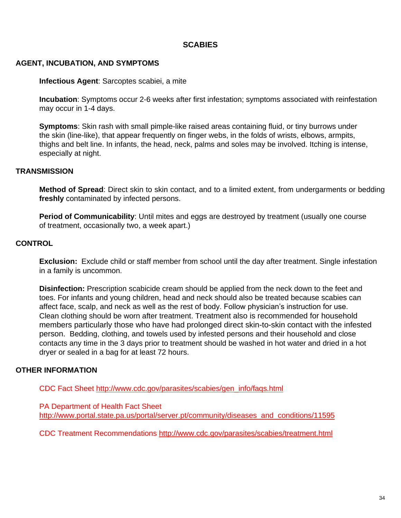# **SCABIES**

#### <span id="page-33-0"></span>**AGENT, INCUBATION, AND SYMPTOMS**

#### **Infectious Agent**: Sarcoptes scabiei, a mite

**Incubation**: Symptoms occur 2-6 weeks after first infestation; symptoms associated with reinfestation may occur in 1-4 days.

**Symptoms**: Skin rash with small pimple-like raised areas containing fluid, or tiny burrows under the skin (line-like), that appear frequently on finger webs, in the folds of wrists, elbows, armpits, thighs and belt line. In infants, the head, neck, palms and soles may be involved. Itching is intense, especially at night.

#### **TRANSMISSION**

**Method of Spread**: Direct skin to skin contact, and to a limited extent, from undergarments or bedding **freshly** contaminated by infected persons.

**Period of Communicability**: Until mites and eggs are destroyed by treatment (usually one course of treatment, occasionally two, a week apart.)

#### **CONTROL**

**Exclusion:** Exclude child or staff member from school until the day after treatment. Single infestation in a family is uncommon.

**Disinfection:** Prescription scabicide cream should be applied from the neck down to the feet and toes. For infants and young children, head and neck should also be treated because scabies can affect face, scalp, and neck as well as the rest of body. Follow physician's instruction for use. Clean clothing should be worn after treatment. Treatment also is recommended for household members particularly those who have had prolonged direct skin-to-skin contact with the infested person. Bedding, clothing, and towels used by infested persons and their household and close contacts any time in the 3 days prior to treatment should be washed in hot water and dried in a hot dryer or sealed in a bag for at least 72 hours.

#### **OTHER INFORMATION**

CDC Fact Sheet [http://www.cdc.gov/parasites/scabies/gen\\_info/faqs.html](http://www.cdc.gov/parasites/scabies/gen_info/faqs.html)

PA Department of Health Fact Sheet [http://www.portal.state.pa.us/portal/server.pt/community/diseases\\_and\\_conditions/11595](http://www.portal.state.pa.us/portal/server.pt/community/diseases_and_conditions/11595)

CDC Treatment Recommendations<http://www.cdc.gov/parasites/scabies/treatment.html>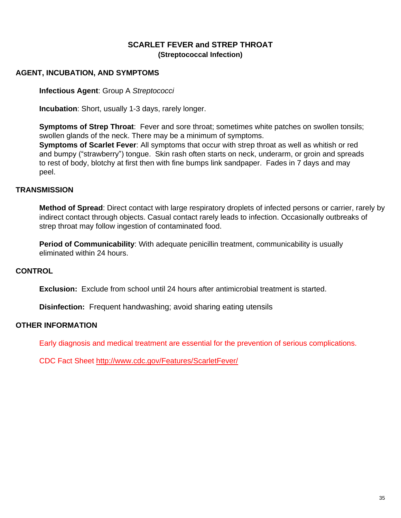# **SCARLET FEVER and STREP THROAT (Streptococcal Infection)**

## <span id="page-34-0"></span>**AGENT, INCUBATION, AND SYMPTOMS**

**Infectious Agent**: Group A *Streptococci*

**Incubation**: Short, usually 1-3 days, rarely longer.

**Symptoms of Strep Throat**: Fever and sore throat; sometimes white patches on swollen tonsils; swollen glands of the neck. There may be a minimum of symptoms.

**Symptoms of Scarlet Fever**: All symptoms that occur with strep throat as well as whitish or red and bumpy ("strawberry") tongue. Skin rash often starts on neck, underarm, or groin and spreads to rest of body, blotchy at first then with fine bumps link sandpaper. Fades in 7 days and may peel.

#### **TRANSMISSION**

**Method of Spread**: Direct contact with large respiratory droplets of infected persons or carrier, rarely by indirect contact through objects. Casual contact rarely leads to infection. Occasionally outbreaks of strep throat may follow ingestion of contaminated food.

**Period of Communicability:** With adequate penicillin treatment, communicability is usually eliminated within 24 hours.

# **CONTROL**

**Exclusion:** Exclude from school until 24 hours after antimicrobial treatment is started.

**Disinfection:** Frequent handwashing; avoid sharing eating utensils

#### **OTHER INFORMATION**

Early diagnosis and medical treatment are essential for the prevention of serious complications.

CDC Fact Sheet<http://www.cdc.gov/Features/ScarletFever/>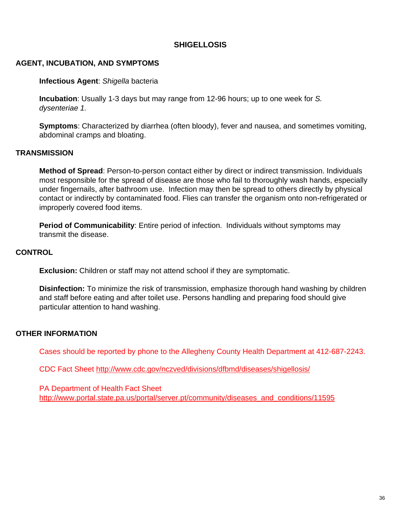# **SHIGELLOSIS**

#### <span id="page-35-0"></span>**AGENT, INCUBATION, AND SYMPTOMS**

#### **Infectious Agent**: *Shigella* bacteria

**Incubation**: Usually 1-3 days but may range from 12-96 hours; up to one week for *S. dysenteriae 1.*

**Symptoms**: Characterized by diarrhea (often bloody), fever and nausea, and sometimes vomiting, abdominal cramps and bloating.

#### **TRANSMISSION**

**Method of Spread**: Person-to-person contact either by direct or indirect transmission. Individuals most responsible for the spread of disease are those who fail to thoroughly wash hands, especially under fingernails, after bathroom use. Infection may then be spread to others directly by physical contact or indirectly by contaminated food. Flies can transfer the organism onto non-refrigerated or improperly covered food items.

**Period of Communicability**: Entire period of infection. Individuals without symptoms may transmit the disease.

#### **CONTROL**

**Exclusion:** Children or staff may not attend school if they are symptomatic.

**Disinfection:** To minimize the risk of transmission, emphasize thorough hand washing by children and staff before eating and after toilet use. Persons handling and preparing food should give particular attention to hand washing.

#### **OTHER INFORMATION**

Cases should be reported by phone to the Allegheny County Health Department at 412-687-2243.

CDC Fact Sheet<http://www.cdc.gov/nczved/divisions/dfbmd/diseases/shigellosis/>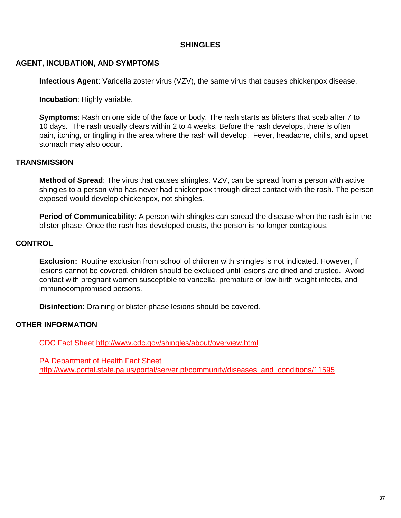# **SHINGLES**

# <span id="page-36-0"></span>**AGENT, INCUBATION, AND SYMPTOMS**

**Infectious Agent**: Varicella zoster virus (VZV), the same virus that causes chickenpox disease.

**Incubation**: Highly variable.

**Symptoms**: Rash on one side of the face or body. The rash starts as blisters that scab after 7 to 10 days. The rash usually clears within 2 to 4 weeks. Before the rash develops, there is often pain, itching, or tingling in the area where the rash will develop. Fever, headache, chills, and upset stomach may also occur.

# **TRANSMISSION**

**Method of Spread**: The virus that causes shingles, VZV, can be spread from a person with active shingles to a person who has never had chickenpox through direct contact with the rash. The person exposed would develop chickenpox, not shingles.

**Period of Communicability**: A person with shingles can spread the disease when the rash is in the blister phase. Once the rash has developed crusts, the person is no longer contagious.

# **CONTROL**

**Exclusion:** Routine exclusion from school of children with shingles is not indicated. However, if lesions cannot be covered, children should be excluded until lesions are dried and crusted. Avoid contact with pregnant women susceptible to varicella, premature or low-birth weight infects, and immunocompromised persons.

**Disinfection:** Draining or blister-phase lesions should be covered.

# **OTHER INFORMATION**

CDC Fact Sheet<http://www.cdc.gov/shingles/about/overview.html>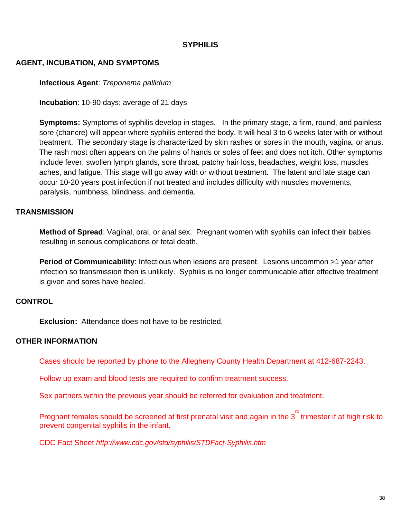# **SYPHILIS**

#### <span id="page-37-0"></span>**AGENT, INCUBATION, AND SYMPTOMS**

#### **Infectious Agent**: *Treponema pallidum*

**Incubation**: 10-90 days; average of 21 days

**Symptoms:** Symptoms of syphilis develop in stages. In the primary stage, a firm, round, and painless sore (chancre) will appear where syphilis entered the body. It will heal 3 to 6 weeks later with or without treatment. The secondary stage is characterized by skin rashes or sores in the mouth, vagina, or anus. The rash most often appears on the palms of hands or soles of feet and does not itch. Other symptoms include fever, swollen lymph glands, sore throat, patchy hair loss, headaches, weight loss, muscles aches, and fatigue. This stage will go away with or without treatment. The latent and late stage can occur 10-20 years post infection if not treated and includes difficulty with muscles movements, paralysis, numbness, blindness, and dementia.

#### **TRANSMISSION**

**Method of Spread**: Vaginal, oral, or anal sex. Pregnant women with syphilis can infect their babies resulting in serious complications or fetal death.

**Period of Communicability:** Infectious when lesions are present. Lesions uncommon >1 year after infection so transmission then is unlikely. Syphilis is no longer communicable after effective treatment is given and sores have healed.

#### **CONTROL**

**Exclusion:** Attendance does not have to be restricted.

#### **OTHER INFORMATION**

Cases should be reported by phone to the Allegheny County Health Department at 412-687-2243.

Follow up exam and blood tests are required to confirm treatment success.

Sex partners within the previous year should be referred for evaluation and treatment.

Pregnant females should be screened at first prenatal visit and again in the  $3<sup>rd</sup>$  trimester if at high risk to prevent congenital syphilis in the infant.

CDC Fact Sheet *<http://www.cdc.gov/std/syphilis/STDFact-Syphilis.htm>*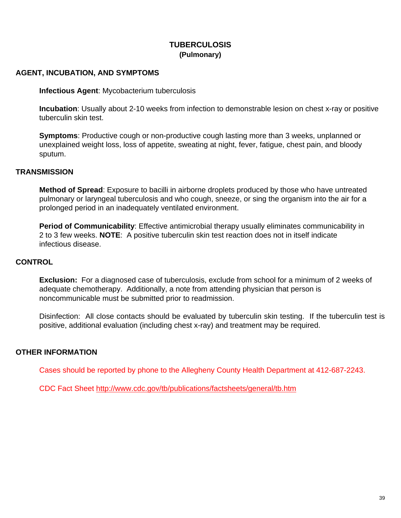# **TUBERCULOSIS (Pulmonary)**

## <span id="page-38-0"></span>**AGENT, INCUBATION, AND SYMPTOMS**

**Infectious Agent**: Mycobacterium tuberculosis

**Incubation**: Usually about 2-10 weeks from infection to demonstrable lesion on chest x-ray or positive tuberculin skin test.

**Symptoms**: Productive cough or non-productive cough lasting more than 3 weeks, unplanned or unexplained weight loss, loss of appetite, sweating at night, fever, fatigue, chest pain, and bloody sputum.

#### **TRANSMISSION**

**Method of Spread**: Exposure to bacilli in airborne droplets produced by those who have untreated pulmonary or laryngeal tuberculosis and who cough, sneeze, or sing the organism into the air for a prolonged period in an inadequately ventilated environment.

**Period of Communicability**: Effective antimicrobial therapy usually eliminates communicability in 2 to 3 few weeks. **NOTE**: A positive tuberculin skin test reaction does not in itself indicate infectious disease.

#### **CONTROL**

**Exclusion:** For a diagnosed case of tuberculosis, exclude from school for a minimum of 2 weeks of adequate chemotherapy. Additionally, a note from attending physician that person is noncommunicable must be submitted prior to readmission.

Disinfection: All close contacts should be evaluated by tuberculin skin testing. If the tuberculin test is positive, additional evaluation (including chest x-ray) and treatment may be required.

#### **OTHER INFORMATION**

Cases should be reported by phone to the Allegheny County Health Department at 412-687-2243.

CDC Fact Sheet<http://www.cdc.gov/tb/publications/factsheets/general/tb.htm>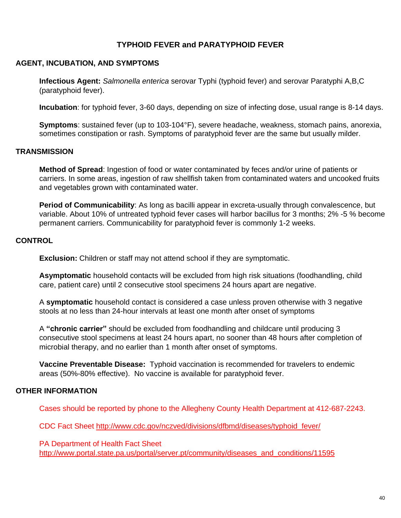# **TYPHOID FEVER and PARATYPHOID FEVER**

#### <span id="page-39-0"></span>**AGENT, INCUBATION, AND SYMPTOMS**

**Infectious Agent:** *Salmonella enterica* serovar Typhi (typhoid fever) and serovar Paratyphi A,B,C (paratyphoid fever).

**Incubation**: for typhoid fever, 3-60 days, depending on size of infecting dose, usual range is 8-14 days.

**Symptoms**: sustained fever (up to 103-104°F), severe headache, weakness, stomach pains, anorexia, sometimes constipation or rash. Symptoms of paratyphoid fever are the same but usually milder.

#### **TRANSMISSION**

**Method of Spread**: Ingestion of food or water contaminated by feces and/or urine of patients or carriers. In some areas, ingestion of raw shellfish taken from contaminated waters and uncooked fruits and vegetables grown with contaminated water.

**Period of Communicability**: As long as bacilli appear in excreta-usually through convalescence, but variable. About 10% of untreated typhoid fever cases will harbor bacillus for 3 months; 2% -5 % become permanent carriers. Communicability for paratyphoid fever is commonly 1-2 weeks.

#### **CONTROL**

**Exclusion:** Children or staff may not attend school if they are symptomatic.

**Asymptomatic** household contacts will be excluded from high risk situations (foodhandling, child care, patient care) until 2 consecutive stool specimens 24 hours apart are negative.

A **symptomatic** household contact is considered a case unless proven otherwise with 3 negative stools at no less than 24-hour intervals at least one month after onset of symptoms

A **"chronic carrier"** should be excluded from foodhandling and childcare until producing 3 consecutive stool specimens at least 24 hours apart, no sooner than 48 hours after completion of microbial therapy, and no earlier than 1 month after onset of symptoms.

**Vaccine Preventable Disease:** Typhoid vaccination is recommended for travelers to endemic areas (50%-80% effective). No vaccine is available for paratyphoid fever.

#### **OTHER INFORMATION**

Cases should be reported by phone to the Allegheny County Health Department at 412-687-2243.

CDC Fact Sheet [http://www.cdc.gov/nczved/divisions/dfbmd/diseases/typhoid\\_fever/](http://www.cdc.gov/nczved/divisions/dfbmd/diseases/typhoid_fever/)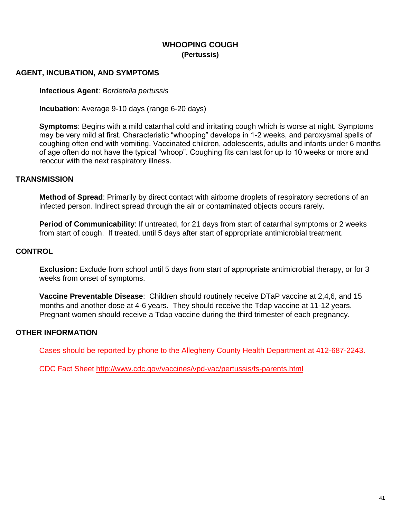# **WHOOPING COUGH (Pertussis)**

## <span id="page-40-0"></span>**AGENT, INCUBATION, AND SYMPTOMS**

**Infectious Agent**: *Bordetella pertussis*

**Incubation**: Average 9-10 days (range 6-20 days)

**Symptoms**: Begins with a mild catarrhal cold and irritating cough which is worse at night. Symptoms may be very mild at first. Characteristic "whooping" develops in 1-2 weeks, and paroxysmal spells of coughing often end with vomiting. Vaccinated children, adolescents, adults and infants under 6 months of age often do not have the typical "whoop". Coughing fits can last for up to 10 weeks or more and reoccur with the next respiratory illness.

#### **TRANSMISSION**

**Method of Spread**: Primarily by direct contact with airborne droplets of respiratory secretions of an infected person. Indirect spread through the air or contaminated objects occurs rarely.

**Period of Communicability**: If untreated, for 21 days from start of catarrhal symptoms or 2 weeks from start of cough. If treated, until 5 days after start of appropriate antimicrobial treatment.

#### **CONTROL**

**Exclusion:** Exclude from school until 5 days from start of appropriate antimicrobial therapy, or for 3 weeks from onset of symptoms.

**Vaccine Preventable Disease**: Children should routinely receive DTaP vaccine at 2,4,6, and 15 months and another dose at 4-6 years. They should receive the Tdap vaccine at 11-12 years. Pregnant women should receive a Tdap vaccine during the third trimester of each pregnancy.

#### **OTHER INFORMATION**

Cases should be reported by phone to the Allegheny County Health Department at 412-687-2243.

CDC Fact Sheet<http://www.cdc.gov/vaccines/vpd-vac/pertussis/fs-parents.html>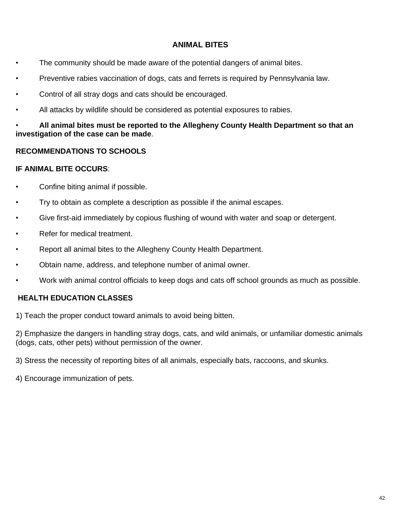# **ANIMAL BITES**

- <span id="page-41-0"></span>• The community should be made aware of the potential dangers of animal bites.
- Preventive rabies vaccination of dogs, cats and ferrets is required by Pennsylvania law.
- Control of all stray dogs and cats should be encouraged.
- All attacks by wildlife should be considered as potential exposures to rabies.

# • **All animal bites must be reported to the Allegheny County Health Department so that an investigation of the case can be made**.

# **RECOMMENDATIONS TO SCHOOLS**

#### **IF ANIMAL BITE OCCURS**:

- Confine biting animal if possible.
- Try to obtain as complete a description as possible if the animal escapes.
- Give first-aid immediately by copious flushing of wound with water and soap or detergent.
- Refer for medical treatment.
- Report all animal bites to the Allegheny County Health Department.
- Obtain name, address, and telephone number of animal owner.
- Work with animal control officials to keep dogs and cats off school grounds as much as possible.

# **HEALTH EDUCATION CLASSES**

1) Teach the proper conduct toward animals to avoid being bitten.

2) Emphasize the dangers in handling stray dogs, cats, and wild animals, or unfamiliar domestic animals (dogs, cats, other pets) without permission of the owner.

3) Stress the necessity of reporting bites of all animals, especially bats, raccoons, and skunks.

4) Encourage immunization of pets.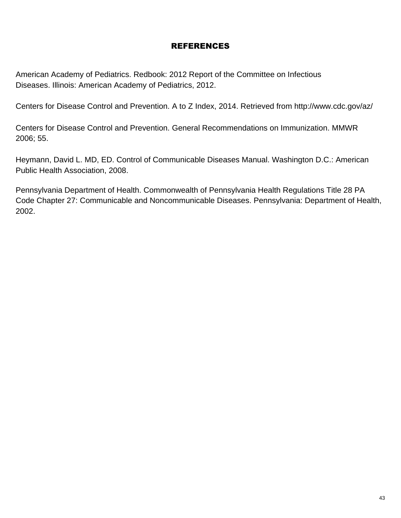# REFERENCES

American Academy of Pediatrics. Redbook: 2012 Report of the Committee on Infectious Diseases. Illinois: American Academy of Pediatrics, 2012.

Centers for Disease Control and Prevention. A to Z Index, 2014. Retrieved from http://www.cdc.gov/az/

Centers for Disease Control and Prevention. General Recommendations on Immunization. MMWR 2006; 55.

Heymann, David L. MD, ED. Control of Communicable Diseases Manual. Washington D.C.: American Public Health Association, 2008.

Pennsylvania Department of Health. Commonwealth of Pennsylvania Health Regulations Title 28 PA Code Chapter 27: Communicable and Noncommunicable Diseases. Pennsylvania: Department of Health, 2002.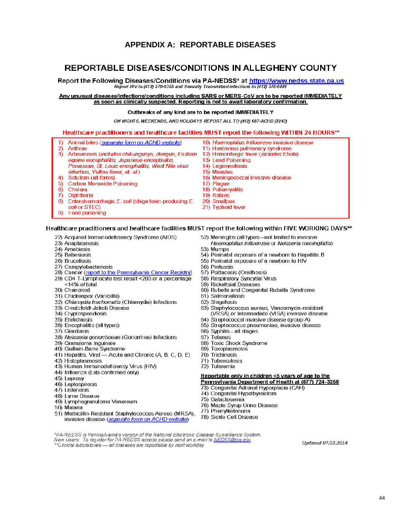# **APPENDIX A: REPORTABLE DISEASES**

# <span id="page-43-0"></span>REPORTABLE DISEASES/CONDITIONS IN ALLEGHENY COUNTY

Report the Following Diseases/Conditions via PA-NEDSS\* at https://www.nedss.state.pa.us Report HIV to (412) 578-8358 and Sexually Transmitted Infections to (412) 578-8081

#### Any unusual diseases/infections/conditions including SARS or MERS-CoV are to be reported IMMEDIATELY as soon as clinically suspected. Reporting is not to await laboratory confirmation.

#### Outbreaks of any kind are to be reported IMMEDIATELY

ON NIGHTS, WEEKENDS, AND HOLIDAYS REPORT ALL TO (412) 687-ACHD (2243)

#### Healthcare practitioners and healthcare facilities MUST report the following WITHIN 24 HOURS\*\*

| 1).      | Animal bites (separate form on ACHD website)              | 10) Haemophilus Influenzae invasive disease     |
|----------|-----------------------------------------------------------|-------------------------------------------------|
| 2)       | Anthrax                                                   | 11) Hantavirus pulmonary syndrome               |
| 3)       | Arboviruses (includes chikungunya, dengue, Eastern        | 12) Hemorrhagic fever ( <i>includes Ebola</i> ) |
|          | equine encephalitis, Japanese encephalitis,               | 13) Lead Poisoning                              |
|          | Powassan, St. Louis encephalitis, West Nile virus         | 14) Legionnellosis                              |
|          | infection, Yellow fever, et. al.)                         | 15) Measles                                     |
| 4)       | Botulism (all forms)                                      | 16) Meningococcal invasive disease              |
|          | 5) Carbon Monoxide Poisoning                              | 17) Plaque                                      |
| 6).      | Cholera                                                   | 18) Poliomyelitis                               |
| $\Omega$ | Diphtheria                                                | 19) Rabies                                      |
|          | 8) Enterohemorrhagic E. coli (shiga toxin-producing $E$ . | 20) Smallpox                                    |
|          | coli or STEC)                                             | 21) Typhoid fever                               |
| 9).      | Food poisoning                                            |                                                 |

#### Healthcare practitioners and healthcare facilities MUST report the following within FIVE WORKING DAYS\*\*

- 22) Acquired Immunodeficiency Syndrome (AIDS)
- 23) Anaplasmosis
- 24) Amebiasis
- 25) Babesiosis
- 26) Brucellosis
- 27) Campylobacteriosis
- 28) Cancer (report to the Pennsylvania Cancer Registry)
- 29) CD4 T-Lymphocyte test result <200 or a percentage <14% of total
- 30) Chancroid
- 31) Chickenpox (Varicella)
- 32) Chlamydia trachomatis (Chlamydia) Infections
- 33) Creutzfeldt-Jakob Disease
- 34) Cryptosporidiosis
- 35) Ehrlichiosis
- 36) Encephalitis (all types)
- 37) Giardiasis
- 38) Neisseria gonorrhoeae (Gonorrhea) Infections
- 39) Granuloma Inguinale
- 40) Guillain-Barre Syndrome
- 41) Hepatitis, Viral Acute and Chronic (A, B, C, D, E)
- 42) Histoplasmosis
- 43) Human Immunodeficiency Virus (HIV)
- 44) Influenza (Lab-confirmed only)
- 45) Leprosy
- 46) Leptospirosis
- 47) Listeriosis
- 48) Lyme Disease
- 49) Lymphogranuloma Venereum
- 50) Malaria
- 51) Methicillin-Resistant Staphylococcus Aureus (MRSA), invasive disease (separate form on ACHD website)
- 52) Meningitis (all types-not limited to invasive
- Haemophilus influenzae or Neisseria meningitidis) 53) Mumps
- 54) Perinatal exposure of a newborn to Hepatitis B
- 55) Perinatal exposure of a newborn to HIV
- 56) Pertussis
- 57) Psittacosis (Ornithosis)
- 58) Respiratory Syncytial Virus
- 59) Rickettsial Diseases
- 60) Rubella and Congenital Rubella Syndrome
- 61) Salmonellosis
- 62) Shigellosis
- 63) Staphylococcus aureus, Vancomycin-resistant<br>(VRSA) or Intermediate (VISA) invasive disease
- 64) Streptococcal invasive disease (group A)
- 65) Streptococcus pneumoniae, invasive disease
- 66) Syphilis all stages
- 67) Tetanus
- 68) Toxic Shock Syndrome
- 69) Toxoplasmosis
- 70) Trichinosis
- 71) Tuberculosis
- 72) Tularemia

#### Reportable only in children <5 years of age to the Pennsylvania Department of Health at (877) 724-3258

- 73) Congenital Adrenal Hyperplasia (CAH)
- 74) Congenital Hypothyroidism
- 75) Galactosemia
- 76) Maple Syrup Urine Disease
- 77) Phenylketonuria
- 78) Sickle Cell Disease

\*PA-NEDSS is Pennsylvania's version of the National Electronic Disease Surveillance System. New Users: To register for PA-NEDSS access please send an e-mail to NEDSS@pa.gov \*\*Clinical laboratories — all diseases are reportable by next workday

Updated 07.02.2014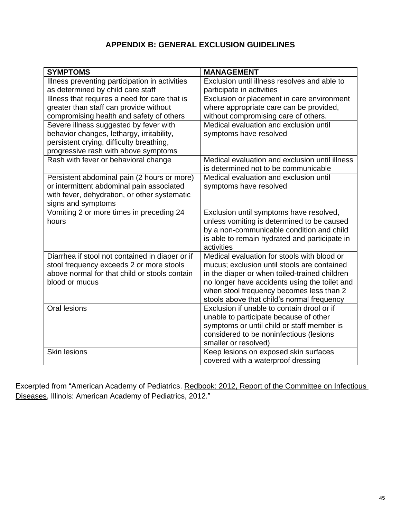# **APPENDIX B: GENERAL EXCLUSION GUIDELINES**

<span id="page-44-0"></span>

| <b>SYMPTOMS</b>                                                                             | <b>MANAGEMENT</b>                                                         |
|---------------------------------------------------------------------------------------------|---------------------------------------------------------------------------|
| Illness preventing participation in activities<br>as determined by child care staff         | Exclusion until illness resolves and able to<br>participate in activities |
| Illness that requires a need for care that is                                               | Exclusion or placement in care environment                                |
| greater than staff can provide without                                                      | where appropriate care can be provided,                                   |
| compromising health and safety of others                                                    | without compromising care of others.                                      |
| Severe illness suggested by fever with                                                      | Medical evaluation and exclusion until                                    |
| behavior changes, lethargy, irritability,                                                   | symptoms have resolved                                                    |
| persistent crying, difficulty breathing,                                                    |                                                                           |
| progressive rash with above symptoms                                                        |                                                                           |
| Rash with fever or behavioral change                                                        | Medical evaluation and exclusion until illness                            |
|                                                                                             | is determined not to be communicable                                      |
| Persistent abdominal pain (2 hours or more)                                                 | Medical evaluation and exclusion until                                    |
| or intermittent abdominal pain associated                                                   | symptoms have resolved                                                    |
| with fever, dehydration, or other systematic                                                |                                                                           |
| signs and symptoms                                                                          |                                                                           |
| Vomiting 2 or more times in preceding 24                                                    | Exclusion until symptoms have resolved,                                   |
| hours                                                                                       | unless vomiting is determined to be caused                                |
|                                                                                             | by a non-communicable condition and child                                 |
|                                                                                             | is able to remain hydrated and participate in<br>activities               |
|                                                                                             | Medical evaluation for stools with blood or                               |
| Diarrhea if stool not contained in diaper or if<br>stool frequency exceeds 2 or more stools | mucus; exclusion until stools are contained                               |
| above normal for that child or stools contain                                               | in the diaper or when toiled-trained children                             |
| blood or mucus                                                                              | no longer have accidents using the toilet and                             |
|                                                                                             | when stool frequency becomes less than 2                                  |
|                                                                                             | stools above that child's normal frequency                                |
| Oral lesions                                                                                | Exclusion if unable to contain drool or if                                |
|                                                                                             | unable to participate because of other                                    |
|                                                                                             | symptoms or until child or staff member is                                |
|                                                                                             | considered to be noninfectious (lesions                                   |
|                                                                                             | smaller or resolved)                                                      |
| <b>Skin lesions</b>                                                                         | Keep lesions on exposed skin surfaces                                     |
|                                                                                             | covered with a waterproof dressing                                        |

Excerpted from "American Academy of Pediatrics. Redbook: 2012, Report of the Committee on Infectious Diseases, Illinois: American Academy of Pediatrics, 2012."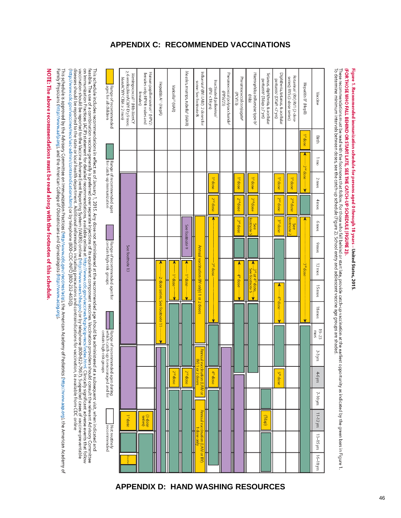# **APPENDIX C: RECOMMENDED VACCINATIONS**

This schedule is approved by the Advisory Committee on Immunization Practices (http://www.cdc.gov/vaccines/acips/acip/actices/intp://www.cdc.gov/vacines/acip/actices/intp://www.cdc.gov/vacines/acip/actices/intp://www.cdc.g Family Physicians (http://www.aafp.org), and the American College of Obstetricians and Gynecologists (http://www.acog.org)

<span id="page-45-1"></span><span id="page-45-0"></span>NOTE: The above recommendations must be read along with the footnotes of this schedule



# (FOR THOSE WHO FALL BEHIND OR START LATE, SEE THE CATCH-UP SCHEDULE [FIGURE 2]). Figure 1. Recommended immunization schedule for persons aged 0 through 18 years – United States, 2015

These recommendations must be read with the footnotes that follow. For those who fall behind or start late, provide catch-up vaccination at the earliest opportunity as indicated by the green bars in Figure 1.<br>To determine